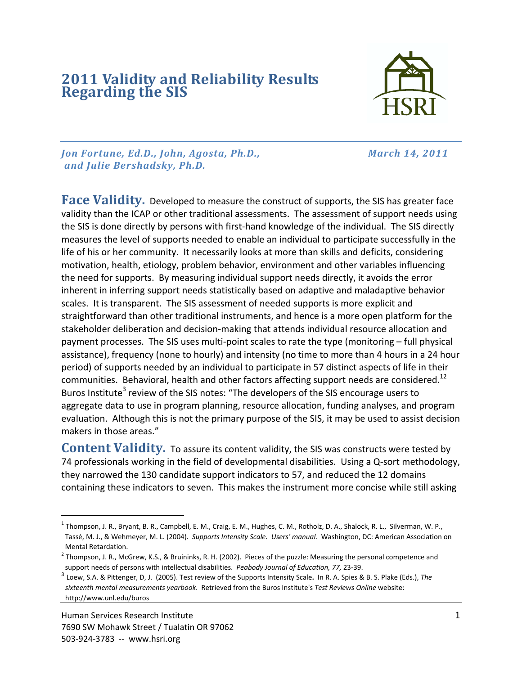## **<sup>2011</sup> Validity and Reliability Results Regarding the SIS**



*Jon Fortune, Ed.D., John, Agosta, Ph.D., March 14, 2011 and Julie Bershadsky, Ph.D.*

**Face Validity.** Developed to measure the construct of supports, the SIS has greater face validity than the ICAP or other traditional assessments. The assessment of support needs using the SIS is done directly by persons with first‐hand knowledge of the individual. The SIS directly measures the level of supports needed to enable an individual to participate successfully in the life of his or her community. It necessarily looks at more than skills and deficits, considering motivation, health, etiology, problem behavior, environment and other variables influencing the need for supports. By measuring individual support needs directly, it avoids the error inherent in inferring support needs statistically based on adaptive and maladaptive behavior scales. It is transparent. The SIS assessment of needed supports is more explicit and straightforward than other traditional instruments, and hence is a more open platform for the stakeholder deliberation and decision‐making that attends individual resource allocation and payment processes. The SIS uses multi-point scales to rate the type (monitoring – full physical assistance), frequency (none to hourly) and intensity (no time to more than 4 hours in a 24 hour period) of supports needed by an individual to participate in 57 distinct aspects of life in their communities. Behavioral, health and other factors affecting support needs are considered.<sup>12</sup> Buros Institute<sup>3</sup> review of the SIS notes: "The developers of the SIS encourage users to aggregate data to use in program planning, resource allocation, funding analyses, and program evaluation. Although this is not the primary purpose of the SIS, it may be used to assist decision makers in those areas."

**Content Validity.** To assure its content validity, the SIS was constructs were tested by 74 professionals working in the field of developmental disabilities. Using a Q-sort methodology, they narrowed the 130 candidate support indicators to 57, and reduced the 12 domains containing these indicators to seven. This makes the instrument more concise while still asking

 $^1$  Thompson, J. R., Bryant, B. R., Campbell, E. M., Craig, E. M., Hughes, C. M., Rotholz, D. A., Shalock, R. L., Silverman, W. P., Tassé, M. J., & Wehmeyer, M. L. (2004). *Supports Intensity Scale. Users' manual.* Washington, DC: American Association on Mental Retardation.

 $2$  Thompson, J. R., McGrew, K.S., & Bruininks, R. H. (2002). Pieces of the puzzle: Measuring the personal competence and support needs of persons with intellectual disabilities. *Peabody Journal of Education, 77,* 23‐39.

<sup>3</sup> Loew, S.A. & Pittenger, D, J. (2005). Test review of the Supports Intensity Scale**.** In R. A. Spies & B. S. Plake (Eds.), *The sixteenth mental measurements yearbook*. Retrieved from the Buros Institute's *Test Reviews Online* website: http://www.unl.edu/buros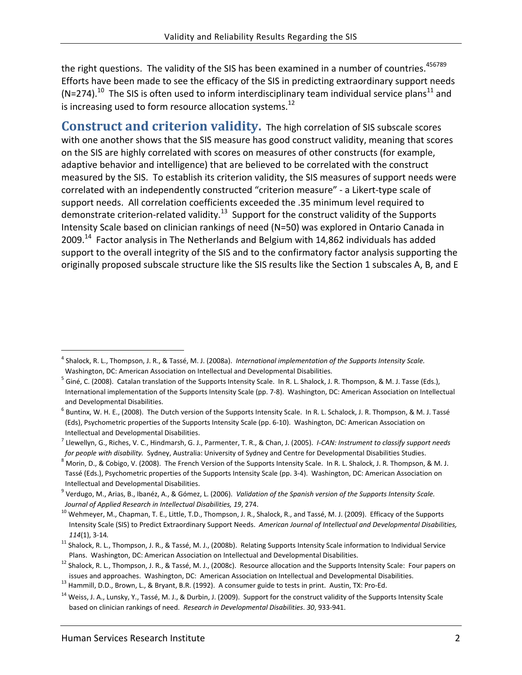the right questions. The validity of the SIS has been examined in a number of countries.<sup>456789</sup> Efforts have been made to see the efficacy of the SIS in predicting extraordinary support needs (N=274).<sup>10</sup> The SIS is often used to inform interdisciplinary team individual service plans<sup>11</sup> and is increasing used to form resource allocation systems. $^{12}$ 

**Construct and criterion validity.** The high correlation of SIS subscale scores with one another shows that the SIS measure has good construct validity, meaning that scores on the SIS are highly correlated with scores on measures of other constructs (for example, adaptive behavior and intelligence) that are believed to be correlated with the construct measured by the SIS. To establish its criterion validity, the SIS measures of support needs were correlated with an independently constructed "criterion measure" ‐ a Likert‐type scale of support needs. All correlation coefficients exceeded the .35 minimum level required to demonstrate criterion-related validity.<sup>13</sup> Support for the construct validity of the Supports Intensity Scale based on clinician rankings of need (N=50) was explored in Ontario Canada in 2009.<sup>14</sup> Factor analysis in The Netherlands and Belgium with 14,862 individuals has added support to the overall integrity of the SIS and to the confirmatory factor analysis supporting the originally proposed subscale structure like the SIS results like the Section 1 subscales A, B, and E

<sup>4</sup> Shalock, R. L., Thompson, J. R., & Tassé, M. J. (2008a). *International implementation of the Supports Intensity Scale.*  Washington, DC: American Association on Intellectual and Developmental Disabilities.

<sup>&</sup>lt;sup>5</sup> Giné, C. (2008). Catalan translation of the Supports Intensity Scale. In R. L. Shalock, J. R. Thompson, & M. J. Tasse (Eds.), International implementation of the Supports Intensity Scale (pp. 7‐8). Washington, DC: American Association on Intellectual and Developmental Disabilities.

 $^6$  Buntinx, W. H. E., (2008). The Dutch version of the Supports Intensity Scale. In R. L. Schalock, J. R. Thompson, & M. J. Tassé (Eds), Psychometric properties of the Supports Intensity Scale (pp. 6‐10). Washington, DC: American Association on Intellectual and Developmental Disabilities.

<sup>7</sup> Llewellyn, G., Riches, V. C., Hindmarsh, G. J., Parmenter, T. R., & Chan, J. (2005). *I‐CAN: Instrument to classify support needs for people with disability.* Sydney, Australia: University of Sydney and Centre for Developmental Disabilities Studies.

<sup>8</sup> Morin, D., & Cobigo, V. (2008). The French Version of the Supports Intensity Scale. In R. L. Shalock, J. R. Thompson, & M. J. Tassé (Eds.), Psychometric properties of the Supports Intensity Scale (pp. 3‐4). Washington, DC: American Association on Intellectual and Developmental Disabilities.

<sup>9</sup> Verdugo, M., Arias, B., Ibanéz, A., & Gómez, L. (2006). *Validation of the Spanish version of the Supports Intensity Scale. Journal of Applied Research in Intellectual Disabilities, 19*, 274.

<sup>&</sup>lt;sup>10</sup> Wehmeyer, M., Chapman, T. E., Little, T.D., Thompson, J. R., Shalock, R., and Tassé, M. J. (2009). Efficacy of the Supports Intensity Scale (SIS) to Predict Extraordinary Support Needs. *American Journal of Intellectual and Developmental Disabilities, 114*(1), 3‐14*.*

<sup>&</sup>lt;sup>11</sup> Shalock, R. L., Thompson, J. R., & Tassé, M. J., (2008b). Relating Supports Intensity Scale information to Individual Service Plans. Washington, DC: American Association on Intellectual and Developmental Disabilities.

 $12$  Shalock, R. L., Thompson, J. R., & Tassé, M. J., (2008c). Resource allocation and the Supports Intensity Scale: Four papers on issues and approaches. Washington, DC: American Association on Intellectual and Developmental Disabilities. <sup>13</sup> Hammill, D.D., Brown, L., & Bryant, B.R. (1992). A consumer guide to tests in print. Austin, TX: Pro-Ed.

<sup>&</sup>lt;sup>14</sup> Weiss, J. A., Lunsky, Y., Tassé, M. J., & Durbin, J. (2009). Support for the construct validity of the Supports Intensity Scale based on clinician rankings of need. *Research in Developmental Disabilities*. *30*, 933‐941.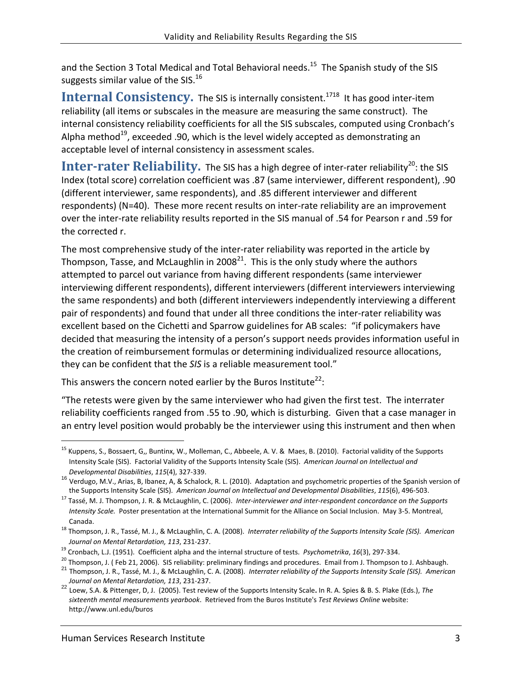and the Section 3 Total Medical and Total Behavioral needs.<sup>15</sup> The Spanish study of the SIS suggests similar value of the SIS.<sup>16</sup>

**Internal Consistency.** The SIS is internally consistent.<sup>1718</sup> It has good inter-item reliability (all items or subscales in the measure are measuring the same construct). The internal consistency reliability coefficients for all the SIS subscales, computed using Cronbach's Alpha method<sup>19</sup>, exceeded .90, which is the level widely accepted as demonstrating an acceptable level of internal consistency in assessment scales.

Inter-rater Reliability. The SIS has a high degree of inter-rater reliability<sup>20</sup>: the SIS Index (total score) correlation coefficient was .87 (same interviewer, different respondent), .90 (different interviewer, same respondents), and .85 different interviewer and different respondents) (N=40). These more recent results on inter-rate reliability are an improvement over the inter‐rate reliability results reported in the SIS manual of .54 for Pearson r and .59 for the corrected r.

The most comprehensive study of the inter-rater reliability was reported in the article by Thompson, Tasse, and McLaughlin in 2008 $^{21}$ . This is the only study where the authors attempted to parcel out variance from having different respondents (same interviewer interviewing different respondents), different interviewers (different interviewers interviewing the same respondents) and both (different interviewers independently interviewing a different pair of respondents) and found that under all three conditions the inter‐rater reliability was excellent based on the Cichetti and Sparrow guidelines for AB scales: "if policymakers have decided that measuring the intensity of a person's support needs provides information useful in the creation of reimbursement formulas or determining individualized resource allocations, they can be confident that the *SIS* is a reliable measurement tool."

This answers the concern noted earlier by the Buros Institute<sup>22</sup>:

"The retests were given by the same interviewer who had given the first test. The interrater reliability coefficients ranged from .55 to .90, which is disturbing. Given that a case manager in an entry level position would probably be the interviewer using this instrument and then when

<sup>&</sup>lt;sup>15</sup> Kuppens, S., Bossaert, G., Buntinx, W., Molleman, C., Abbeele, A. V. & Maes, B. (2010). Factorial validity of the Supports Intensity Scale (SIS). Factorial Validity of the Supports Intensity Scale (SIS). *American Journal on Intellectual and*

*Developmental Disabilities*, *<sup>115</sup>*(4), <sup>327</sup>‐339. <sup>16</sup> Verdugo, M.V., Arias, B, Ibanez, A, & Schalock, R. L. (2010). Adaptation and psychometric properties of the Spanish version of the Supports Intensity Scale (SIS). *American Journal on Intellectual and Developmental Disabilities*, *115*(6), 496‐503.

<sup>17</sup> Tassé, M. J. Thompson, J. R. & McLaughlin, C. (2006). *Inter‐interviewer and inter‐respondent concordance on the Supports Intensity Scale.* Poster presentation at the International Summit for the Alliance on Social Inclusion. May 3‐5. Montreal, Canada.

<sup>18</sup> Thompson, J. R., Tassé, M. J., & McLaughlin, C. A. (2008). *Interrater reliability of the Supports Intensity Scale (SIS). American Journal on Mental Retardation, 113*, 231‐237.

 <sup>19</sup> Cronbach, L.J. (1951). Coefficient alpha and the internal structure of tests. *Psychometrika*, *16*(3), 297‐334.

<sup>&</sup>lt;sup>20</sup> Thompson, J. (Feb 21, 2006). SIS reliability: preliminary findings and procedures. Email from J. Thompson to J. Ashbaugh.<br><sup>21</sup> Thompson, J. R., Tassé, M. J., & McLaughlin, C. A. (2008). *Interrater reliability of the* 

*Journal on Mental Retardation, <sup>113</sup>*, <sup>231</sup>‐237. <sup>22</sup> Loew, S.A. & Pittenger, D, J. (2005). Test review of the Supports Intensity Scale**.** In R. A. Spies & B. S. Plake (Eds.), *The sixteenth mental measurements yearbook*. Retrieved from the Buros Institute's *Test Reviews Online* website: http://www.unl.edu/buros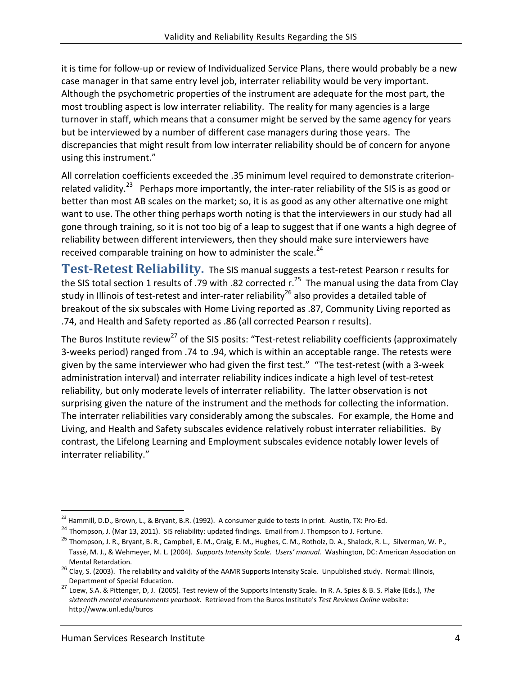it is time for follow‐up or review of Individualized Service Plans, there would probably be a new case manager in that same entry level job, interrater reliability would be very important. Although the psychometric properties of the instrument are adequate for the most part, the most troubling aspect is low interrater reliability. The reality for many agencies is a large turnover in staff, which means that a consumer might be served by the same agency for years but be interviewed by a number of different case managers during those years. The discrepancies that might result from low interrater reliability should be of concern for anyone using this instrument."

All correlation coefficients exceeded the .35 minimum level required to demonstrate criterionrelated validity.<sup>23</sup> Perhaps more importantly, the inter-rater reliability of the SIS is as good or better than most AB scales on the market; so, it is as good as any other alternative one might want to use. The other thing perhaps worth noting is that the interviewers in our study had all gone through training, so it is not too big of a leap to suggest that if one wants a high degree of reliability between different interviewers, then they should make sure interviewers have received comparable training on how to administer the scale. $^{24}$ 

**TestRetest Reliability.** The SIS manual suggests a test‐retest Pearson r results for the SIS total section 1 results of .79 with .82 corrected r.<sup>25</sup> The manual using the data from Clay study in Illinois of test-retest and inter-rater reliability<sup>26</sup> also provides a detailed table of breakout of the six subscales with Home Living reported as .87, Community Living reported as .74, and Health and Safety reported as .86 (all corrected Pearson r results).

The Buros Institute review<sup>27</sup> of the SIS posits: "Test-retest reliability coefficients (approximately 3‐weeks period) ranged from .74 to .94, which is within an acceptable range. The retests were given by the same interviewer who had given the first test." "The test-retest (with a 3-week administration interval) and interrater reliability indices indicate a high level of test‐retest reliability, but only moderate levels of interrater reliability. The latter observation is not surprising given the nature of the instrument and the methods for collecting the information. The interrater reliabilities vary considerably among the subscales. For example, the Home and Living, and Health and Safety subscales evidence relatively robust interrater reliabilities. By contrast, the Lifelong Learning and Employment subscales evidence notably lower levels of interrater reliability."

 <sup>23</sup> Hammill, D.D., Brown, L., & Bryant, B.R. (1992). A consumer guide to tests in print. Austin, TX: Pro-Ed.<br><sup>24</sup> Thompson, J. (Mar 13, 2011). SIS reliability: updated findings. Email from J. Thompson to J. Fortune.

<sup>&</sup>lt;sup>25</sup> Thompson, J. R., Bryant, B. R., Campbell, E. M., Craig, E. M., Hughes, C. M., Rotholz, D. A., Shalock, R. L., Silverman, W. P., Tassé, M. J., & Wehmeyer, M. L. (2004). *Supports Intensity Scale. Users' manual.* Washington, DC: American Association on

Mental Retardation.<br><sup>26</sup> Clay, S. (2003). The reliability and validity of the AAMR Supports Intensity Scale. Unpublished study. Normal: Illinois,<br>Department of Special Education.

Department of Special Education. <sup>27</sup> Loew, S.A. & Pittenger, D, J. (2005). Test review of the Supports Intensity Scale**.** In R. A. Spies & B. S. Plake (Eds.), *The sixteenth mental measurements yearbook*. Retrieved from the Buros Institute's *Test Reviews Online* website: http://www.unl.edu/buros